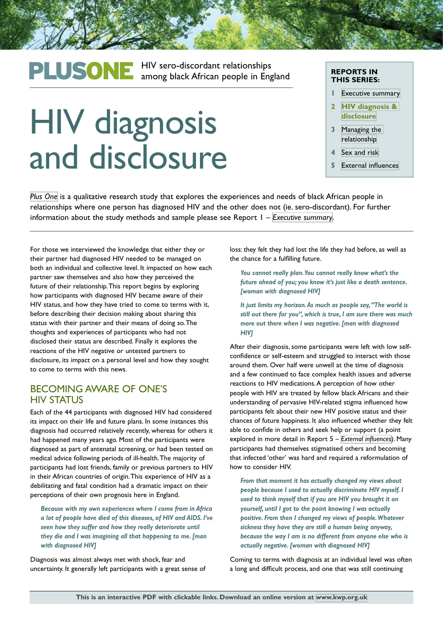# PLUSONE HIV sero-discordant relationships<br>
among black African people in England

# HIV diagnosis and disclosure

#### **REPORTS IN THIS SERIES:**

- **1** [Executive summary](http://kwp.org.uk/files/PlusOne-Executive-Summary.pdf)
- **2 [HIV diagnosis &](http://kwp.org.uk/files/PlusOne-HIV-diagnosis-disclusure.pdf)  [disclosure](http://kwp.org.uk/files/PlusOne-HIV-diagnosis-disclusure.pdf)**
- **3** [Managing the](http://kwp.org.uk/files/PlusOne-Managing-the-relationship.pdf)  [relationship](http://kwp.org.uk/files/PlusOne-Managing-the-relationship.pdf)
- **4** [Sex and risk](http://kwp.org.uk/files/PlusOne-Sex-and-risk.pdf)
- **5** [External influences](http://kwp.org.uk/files/PlusOne-External-influences.pdf)

*[Plus One](http://kwp.org.uk/planning/plusone)* is a qualitative research study that explores the experiences and needs of black African people in relationships where one person has diagnosed HIV and the other does not (ie. sero-discordant). For further information about the study methods and sample please see Report 1 – *[Executive summary](http://kwp.org.uk/files/PlusOne-Executive-Summary.pdf)*.

For those we interviewed the knowledge that either they or their partner had diagnosed HIV needed to be managed on both an individual and collective level. It impacted on how each partner saw themselves and also how they perceived the future of their relationship. This report begins by exploring how participants with diagnosed HIV became aware of their HIV status, and how they have tried to come to terms with it, before describing their decision making about sharing this status with their partner and their means of doing so. The thoughts and experiences of participants who had not disclosed their status are described. Finally it explores the reactions of the HIV negative or untested partners to disclosure, its impact on a personal level and how they sought to come to terms with this news.

### BECOMING AWARE OF ONE'S HIV STATUS

Each of the 44 participants with diagnosed HIV had considered its impact on their life and future plans. In some instances this diagnosis had occurred relatively recently, whereas for others it had happened many years ago. Most of the participants were diagnosed as part of antenatal screening, or had been tested on medical advice following periods of ill-health. The majority of participants had lost friends, family or previous partners to HIV in their African countries of origin. This experience of HIV as a debilitating and fatal condition had a dramatic impact on their perceptions of their own prognosis here in England.

*Because with my own experiences where I come from in Africa a lot of people have died of this diseases, of HIV and AIDS. I've seen how they suffer and how they really deteriorate until they die and I was imagining all that happening to me. [man with diagnosed HIV]*

Diagnosis was almost always met with shock, fear and uncertainty. It generally left participants with a great sense of loss: they felt they had lost the life they had before, as well as the chance for a fulfilling future.

*You cannot really plan. You cannot really know what's the future ahead of you; you know it's just like a death sentence. [woman with diagnosed HIV]* 

*It just limits my horizon. As much as people say, "The world is still out there for you", which is true, I am sure there was much more out there when I was negative. [man with diagnosed HIV]*

After their diagnosis, some participants were left with low selfconfidence or self-esteem and struggled to interact with those around them. Over half were unwell at the time of diagnosis and a few continued to face complex health issues and adverse reactions to HIV medications. A perception of how other people with HIV are treated by fellow black Africans and their understanding of pervasive HIV-related stigma influenced how participants felt about their new HIV positive status and their chances of future happiness. It also influenced whether they felt able to confide in others and seek help or support (a point explored in more detail in Report 5 – *[External influences](http://kwp.org.uk/files/PlusOne-External-influences.pdf)*). Many participants had themselves stigmatised others and becoming that infected 'other' was hard and required a reformulation of how to consider HIV.

*From that moment it has actually changed my views about people because I used to actually discriminate HIV myself. I used to think myself that if you are HIV you brought it on yourself, until I got to the point knowing I was actually positive. From then I changed my views of people. Whatever sickness they have they are still a human being anyway, because the way I am is no different from anyone else who is actually negative. [woman with diagnosed HIV]*

Coming to terms with diagnosis at an individual level was often a long and difficult process, and one that was still continuing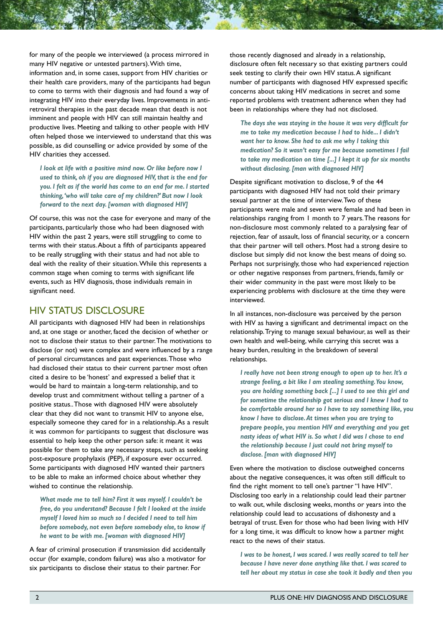for many of the people we interviewed (a process mirrored in many HIV negative or untested partners). With time, information and, in some cases, support from HIV charities or their health care providers, many of the participants had begun to come to terms with their diagnosis and had found a way of integrating HIV into their everyday lives. Improvements in antiretroviral therapies in the past decade mean that death is not imminent and people with HIV can still maintain healthy and productive lives. Meeting and talking to other people with HIV often helped those we interviewed to understand that this was possible, as did counselling or advice provided by some of the HIV charities they accessed.

*I look at life with a positive mind now. Or like before now I used to think, oh if you are diagnosed HIV, that is the end for you. I felt as if the world has come to an end for me. I started thinking, 'who will take care of my children?' But now I look forward to the next day. [woman with diagnosed HIV]*

Of course, this was not the case for everyone and many of the participants, particularly those who had been diagnosed with HIV within the past 2 years, were still struggling to come to terms with their status. About a fifth of participants appeared to be really struggling with their status and had not able to deal with the reality of their situation. While this represents a common stage when coming to terms with significant life events, such as HIV diagnosis, those individuals remain in significant need.

## HIV STATUS DISCLOSURE

All participants with diagnosed HIV had been in relationships and, at one stage or another, faced the decision of whether or not to disclose their status to their partner. The motivations to disclose (or not) were complex and were influenced by a range of personal circumstances and past experiences. Those who had disclosed their status to their current partner most often cited a desire to be 'honest' and expressed a belief that it would be hard to maintain a long-term relationship, and to develop trust and commitment without telling a partner of a positive status.. Those with diagnosed HIV were absolutely clear that they did not want to transmit HIV to anyone else, especially someone they cared for in a relationship. As a result it was common for participants to suggest that disclosure was essential to help keep the other person safe: it meant it was possible for them to take any necessary steps, such as seeking post-exposure prophylaxis (PEP), if exposure ever occurred. Some participants with diagnosed HIV wanted their partners to be able to make an informed choice about whether they wished to continue the relationship.

*What made me to tell him? First it was myself. I couldn't be free, do you understand? Because I felt I looked at the inside myself I loved him so much so I decided I need to tell him before somebody, not even before somebody else, to know if he want to be with me. [woman with diagnosed HIV]*

A fear of criminal prosecution if transmission did accidentally occur (for example, condom failure) was also a motivator for six participants to disclose their status to their partner. For

those recently diagnosed and already in a relationship, disclosure often felt necessary so that existing partners could seek testing to clarify their own HIV status. A significant number of participants with diagnosed HIV expressed specific concerns about taking HIV medications in secret and some reported problems with treatment adherence when they had been in relationships where they had not disclosed.

*The days she was staying in the house it was very difficult for me to take my medication because I had to hide... I didn't want her to know. She had to ask me why I taking this medication? So it wasn't easy for me because sometimes I fail to take my medication on time [...] I kept it up for six months without disclosing. [man with diagnosed HIV]*

Despite significant motivation to disclose, 9 of the 44 participants with diagnosed HIV had not told their primary sexual partner at the time of interview. Two of these participants were male and seven were female and had been in relationships ranging from 1 month to 7 years. The reasons for non-disclosure most commonly related to a paralysing fear of rejection, fear of assault, loss of financial security, or a concern that their partner will tell others. Most had a strong desire to disclose but simply did not know the best means of doing so. Perhaps not surprisingly, those who had experienced rejection or other negative responses from partners, friends, family or their wider community in the past were most likely to be experiencing problems with disclosure at the time they were interviewed.

In all instances, non-disclosure was perceived by the person with HIV as having a significant and detrimental impact on the relationship. Trying to manage sexual behaviour, as well as their own health and well-being, while carrying this secret was a heavy burden, resulting in the breakdown of several relationships.

*I really have not been strong enough to open up to her. It's a strange feeling, a bit like I am stealing something. You know, you are holding something back [...] I used to see this girl and for sometime the relationship got serious and I knew I had to be comfortable around her so I have to say something like, you know I have to disclose. At times when you are trying to prepare people, you mention HIV and everything and you get nasty ideas of what HIV is. So what I did was I chose to end the relationship because I just could not bring myself to disclose. [man with diagnosed HIV]*

Even where the motivation to disclose outweighed concerns about the negative consequences, it was often still difficult to find the right moment to tell one's partner "I have HIV". Disclosing too early in a relationship could lead their partner to walk out, while disclosing weeks, months or years into the relationship could lead to accusations of dishonesty and a betrayal of trust. Even for those who had been living with HIV for a long time, it was difficult to know how a partner might react to the news of their status.

*I was to be honest, I was scared. I was really scared to tell her because I have never done anything like that. I was scared to tell her about my status in case she took it badly and then you*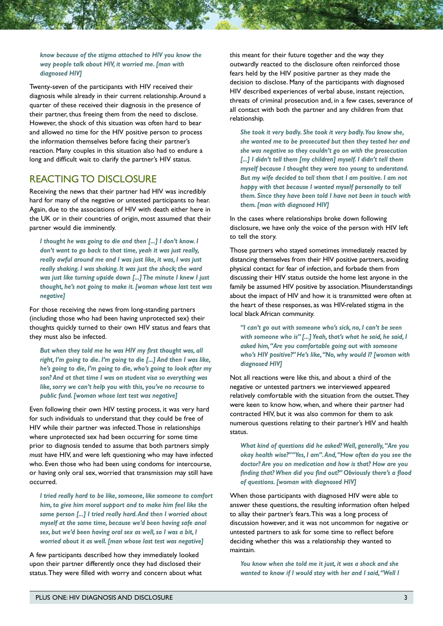#### *know because of the stigma attached to HIV you know the way people talk about HIV, it worried me. [man with diagnosed HIV]*

Twenty-seven of the participants with HIV received their diagnosis while already in their current relationship. Around a quarter of these received their diagnosis in the presence of their partner, thus freeing them from the need to disclose. However, the shock of this situation was often hard to bear and allowed no time for the HIV positive person to process the information themselves before facing their partner's reaction. Many couples in this situation also had to endure a long and difficult wait to clarify the partner's HIV status.

# REACTING TO DISCLOSURE

Receiving the news that their partner had HIV was incredibly hard for many of the negative or untested participants to hear. Again, due to the associations of HIV with death either here in the UK or in their countries of origin, most assumed that their partner would die imminently.

*I thought he was going to die and then [...] I don't know. I don't want to go back to that time, yeah it was just really, really awful around me and I was just like, it was, I was just really shaking. I was shaking. It was just the shock; the ward was just like turning upside down [...] The minute I knew I just thought, he's not going to make it. [woman whose last test was negative]*

For those receiving the news from long-standing partners (including those who had been having unprotected sex) their thoughts quickly turned to their own HIV status and fears that they must also be infected.

*But when they told me he was HIV my first thought was, all right, I'm going to die. I'm going to die [...] And then I was like, he's going to die, I'm going to die, who's going to look after my son? And at that time I was on student visa so everything was like, sorry we can't help you with this, you've no recourse to public fund. [woman whose last test was negative]*

Even following their own HIV testing process, it was very hard for such individuals to understand that they could be free of HIV while their partner was infected. Those in relationships where unprotected sex had been occurring for some time prior to diagnosis tended to assume that both partners simply *must* have HIV, and were left questioning who may have infected who. Even those who had been using condoms for intercourse, or having only oral sex, worried that transmission may still have occurred.

*I tried really hard to be like, someone, like someone to comfort him, to give him moral support and to make him feel like the same person [...] I tried really hard. And then I worried about myself at the same time, because we'd been having safe anal sex, but we'd been having oral sex as well, so I was a bit, I worried about it as well. [man whose last test was negative]*

A few participants described how they immediately looked upon their partner differently once they had disclosed their status. They were filled with worry and concern about what

this meant for their future together and the way they outwardly reacted to the disclosure often reinforced those fears held by the HIV positive partner as they made the decision to disclose. Many of the participants with diagnosed HIV described experiences of verbal abuse, instant rejection, threats of criminal prosecution and, in a few cases, severance of all contact with both the partner and any children from that relationship.

*She took it very badly. She took it very badly. You know she, she wanted me to be prosecuted but then they tested her and she was negative so they couldn't go on with the prosecution*  [...] I didn't tell them [my children] myself. I didn't tell them *myself because I thought they were too young to understand. But my wife decided to tell them that I am positive. I am not happy with that because I wanted myself personally to tell them. Since they have been told I have not been in touch with them. [man with diagnosed HIV]*

In the cases where relationships broke down following disclosure, we have only the voice of the person with HIV left to tell the story.

Those partners who stayed sometimes immediately reacted by distancing themselves from their HIV positive partners, avoiding physical contact for fear of infection, and forbade them from discussing their HIV status outside the home lest anyone in the family be assumed HIV positive by association. Misunderstandings about the impact of HIV and how it is transmitted were often at the heart of these responses, as was HIV-related stigma in the local black African community.

*"I can't go out with someone who's sick, no, I can't be seen with someone who is" [...] Yeah, that's what he said, he said, I asked him, "Are you comfortable going out with someone who's HIV positive?" He's like, "No, why would I? [woman with diagnosed HIV]*

Not all reactions were like this, and about a third of the negative or untested partners we interviewed appeared relatively comfortable with the situation from the outset. They were keen to know how, when, and where their partner had contracted HIV, but it was also common for them to ask numerous questions relating to their partner's HIV and health status.

*What kind of questions did he asked? Well, generally, "Are you okay health wise?" "Yes, I am". And, "How often do you see the doctor? Are you on medication and how is that? How are you finding that? When did you find out?" Obviously there's a flood of questions. [woman with diagnosed HIV]*

When those participants with diagnosed HIV were able to answer these questions, the resulting information often helped to allay their partner's fears. This was a long process of discussion however, and it was not uncommon for negative or untested partners to ask for some time to reflect before deciding whether this was a relationship they wanted to maintain.

*You know when she told me it just, it was a shock and she wanted to know if I would stay with her and I said, "Well I*